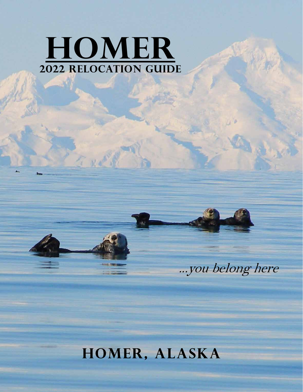# **HOMER 2022 Relocation guide**



**You Belong Here** 

## **HOMER, ALASKA**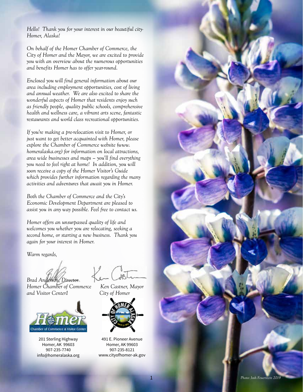*Hello! Thank you for your interest in our beautiful city-Homer, Alaska!* 

*On behalf of the Homer Chamber of Commerce, the City of Homer and the Mayor, we are excited to provide you with an overview about the numerous opportunities and benefits Homer has to offer year-round.* 

*Enclosed you will find general information about our area including employment opportunities, cost of living and annual weather. We are also excited to share the wonderful aspects of Homer that residents enjoy such as friendly people, quality public schools, comprehensive health and wellness care, a vibrant arts scene, fantastic restaurants and world class recreational opportunities.* 

*If you're making a pre-relocation visit to Homer, or just want to get better acquainted with Homer, please explore the Chamber of Commerce website (www. homeralaska.org) for information on local attractions, area wide businesses and maps – you'll find everything you need to feel right at home! In addition, you will soon receive a copy of the Homer Visitor's Guide which provides further information regarding the many activities and adventures that await you in Homer.* 

*Both the Chamber of Commerce and the City's Economic Development Department are pleased to assist you in any way possible. Feel free to contact us.* 

*Homer offers an unsurpassed quality of life and welcomes you whether you are relocating, seeking a second home, or starting a new business. Thank you again for your interest in Homer.* 

*Warm regards,*

*Brad Anderson, Director* 

*Homer Chamber of Commerce Ken Castner, Mayor and Visitor Center1 City of Homer*



201 Sterling Highway Homer, AK 99603 907-235-7740 info@homeralaska.org



491 E. Pioneer Avenue Homer, AK 99603 907-235-8121 www.cityofhomer-ak.gov

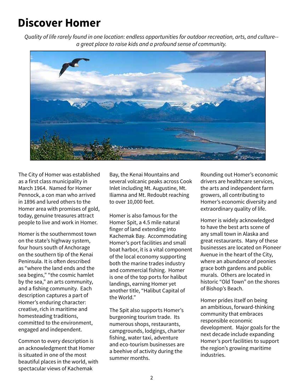## **Discover Homer**

*Quality of life rarely found in one location: endless opportunities for outdoor recreation, arts, and culture- a great place to raise kids and a profound sense of community.*



The City of Homer was established as a first class municipality in March 1964. Named for Homer Pennock, a con man who arrived in 1896 and lured others to the Homer area with promises of gold, today, genuine treasures attract people to live and work in Homer.

Homer is the southernmost town on the state's highway system, four hours south of Anchorage on the southern tip of the Kenai Peninsula. It is often described as "where the land ends and the sea begins," "the cosmic hamlet by the sea," an arts community, and a fishing community. Each description captures a part of Homer's enduring character: creative, rich in maritime and homesteading traditions, committed to the environment, engaged and independent.

Common to every description is an acknowledgment that Homer is situated in one of the most beautiful places in the world, with spectacular views of Kachemak

Bay, the Kenai Mountains and several volcanic peaks across Cook Inlet including Mt. Augustine, Mt. Iliamna and Mt. Redoubt reaching to over 10,000 feet.

Homer is also famous for the Homer Spit, a 4.5 mile natural finger of land extending into Kachemak Bay. Accommodating Homer's port facilities and small boat harbor, it is a vital component of the local economy supporting both the marine trades industry and commercial fishing. Homer is one of the top ports for halibut landings, earning Homer yet another title, "Halibut Capital of the World."

The Spit also supports Homer's burgeoning tourism trade. Its numerous shops, restaurants, campgrounds, lodgings, charter fishing, water taxi, adventure and eco-tourism businesses are a beehive of activity during the summer months.

Rounding out Homer's economic drivers are healthcare services, the arts and independent farm growers, all contributing to Homer's economic diversity and extraordinary quality of life.

Homer is widely acknowledged to have the best arts scene of any small town in Alaska and great restaurants. Many of these businesses are located on Pioneer Avenue in the heart of the City, where an abundance of peonies grace both gardens and public murals. Others are located in historic "Old Town" on the shores of Bishop's Beach.

Homer prides itself on being an ambitious, forward-thinking community that embraces responsible economic development. Major goals for the next decade include expanding Homer's port facilities to support the region's growing maritime industries.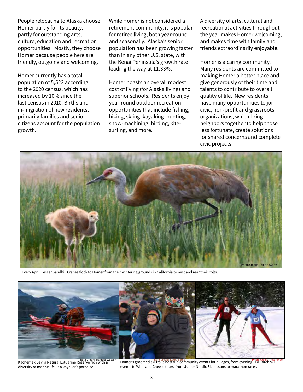People relocating to Alaska choose Homer partly for its beauty, partly for outstanding arts, culture, education and recreation opportunities. Mostly, they choose Homer because people here are friendly, outgoing and welcoming.

Homer currently has a total population of 5,522 according to the 2020 census, which has increased by 10% since the last census in 2010. Births and in-migration of new residents, primarily families and senior citizens account for the population growth.

While Homer is not considered a retirement community, it is popular for retiree living, both year-round and seasonally. Alaska's senior population has been growing faster than in any other U.S. state, with the Kenai Peninsula's growth rate leading the way at 11.33%.

Homer boasts an overall modest cost of living (for Alaska living) and superior schools. Residents enjoy year-round outdoor recreation opportunities that include fishing, hiking, skiing, kayaking, hunting, snow-machining, birding, kitesurfing, and more.

A diversity of arts, cultural and recreational activities throughout the year makes Homer welcoming, and makes time with family and friends extraordinarily enjoyable.

Homer is a caring community. Many residents are committed to making Homer a better place and give generously of their time and talents to contribute to overall quality of life. New residents have many opportunities to join civic, non-profit and grassroots organizations, which bring neighbors together to help those less fortunate, create solutions for shared concerns and complete civic projects.



Every April, Lesser Sandhill Cranes flock to Homer from their wintering grounds in California to nest and rear their colts.



Kachemak Bay, a Natural Estuarine Reserve rich with a diversity of marine life, is a kayaker's paradise.

Photo Credit: Rathy Sarns<br>Leserve rich with a later of the Homer's groomed ski trails host fun community events for all ages, from evening Tiki Torch ski (Photo Credit: Pete Fineo events to Wine and Cheese tours, from Junior Nordic Ski lessons to marathon races.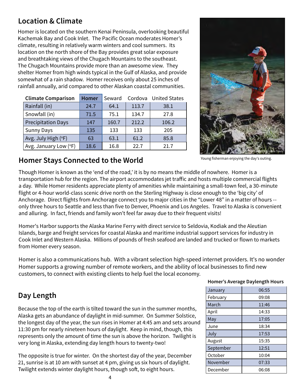### **Location & Climate**

Homer is located on the southern Kenai Peninsula, overlooking beautiful Kachemak Bay and Cook Inlet. The Pacific Ocean moderates Homer's climate, resulting in relatively warm winters and cool summers. Its location on the north shore of the Bay provides great solar exposure and breathtaking views of the Chugach Mountains to the southeast. The Chugach Mountains provide more than an awesome view. They shelter Homer from high winds typical in the Gulf of Alaska, and provide somewhat of a rain shadow. Homer receives only about 25 inches of rainfall annually, arid compared to other Alaskan coastal communities.

| <b>Climate Comparison</b> | <b>Homer</b> | Seward |       | Cordova United States |
|---------------------------|--------------|--------|-------|-----------------------|
| Rainfall (in)             | 24.7         | 64.1   | 113.7 | 38.1                  |
| Snowfall (in)             | 71.5         | 75.1   | 134.7 | 27.8                  |
| <b>Precipitation Days</b> | 147          | 160.7  | 212.2 | 106.2                 |
| <b>Sunny Days</b>         | 135          | 133    | 133   | 205                   |
| Avg. July High (°F)       | 63           | 63.1   | 61.2  | 85.8                  |
| Avg. January Low (°F)     | 18.6         | 16.8   | 22.7  | 21.7                  |



### Young fisherman enjoying the day's outing. **Homer Stays Connected to the World**

Though Homer is known as the 'end of the road,' it is by no means the middle of nowhere. Homer is a transportation hub for the region. The airport accommodates jet traffic and hosts multiple commercial flights a day. While Homer residents appreciate plenty of amenities while maintaining a small-town feel, a 30-minute flight or 4-hour world-class scenic drive north on the Sterling Highway is close enough to the 'big city' of Anchorage. Direct flights from Anchorage connect you to major cities in the "Lower 48" in a matter of hours - only three hours to Seattle and less than five to Denver, Phoenix and Los Angeles. Travel to Alaska is convenient and alluring. In fact, friends and family won't feel far away due to their frequent visits!

Homer's Harbor supports the Alaska Marine Ferry with direct service to Seldovia, Kodiak and the Aleutian Islands, barge and freight services for coastal Alaska and maritime industrial support services for industry in Cook Inlet and Western Alaska. Millions of pounds of fresh seafood are landed and trucked or flown to markets from Homer every season.

Homer is also a communications hub. With a vibrant selection high-speed internet providers. It's no wonder Homer supports a growing number of remote workers, and the ability of local businesses to find new customers, to connect with existing clients to help fuel the local economy.

### **Day Length**

Because the top of the earth is tilted toward the sun in the summer months, Alaska gets an abundance of daylight in mid-summer. On Summer Solstice, the longest day of the year, the sun rises in Homer at 4:45 am and sets around 11:30 pm for nearly nineteen hours of daylight. Keep in mind, though, this represents only the amount of time the sun is above the horizon. Twilight is very long in Alaska, extending day length hours to twenty-two!

The opposite is true for winter. On the shortest day of the year, December 21, sunrise is at 10 am with sunset at 4 pm, giving us six hours of daylight. Twilight extends winter daylight hours, though soft, to eight hours.

#### **Homer's Average Daylength Hours**

| January   | 06:55 |
|-----------|-------|
| February  | 09:08 |
| March     | 11:46 |
| April     | 14:33 |
| May       | 17:05 |
| June      | 18:34 |
| July      | 17:53 |
| August    | 15:35 |
| September | 12:51 |
| October   | 10:04 |
| November  | 07:33 |
| December  | 06:08 |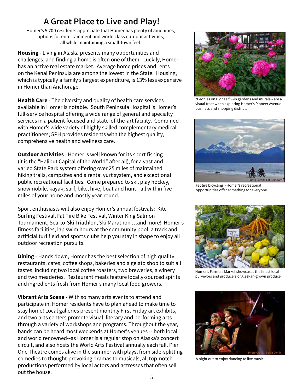### **A Great Place to Live and Play!**

Homer's 5,700 residents appreciate that Homer has plenty of amenities, options for entertainment and world class outdoor activities, all while maintaining a small-town feel.

**Housing** - Living in Alaska presents many opportunities and challenges, and finding a home is often one of them. Luckily, Homer has an active real estate market. Average home prices and rents on the Kenai Peninsula are among the lowest in the State. Housing, which is typically a family's largest expenditure, is 13% less expensive in Homer than Anchorage.

**Health Care** - The diversity and quality of health care services available in Homer is notable. South Peninsula Hospital is Homer's full-service hospital offering a wide range of general and specialty services in a patient-focused and state-of-the-art facility. Combined with Homer's wide variety of highly skilled complementary medical practitioners, SPH provides residents with the highest quality, comprehensive health and wellness care.

**Outdoor Activities** - Homer is well known for its sport fishing (it is the "Halibut Capital of the World" after all), for a vast and varied State Park system offering over 25 miles of maintained hiking trails, campsites and a rental yurt system, and exceptional public recreational facilities. Come prepared to ski, play hockey, snowmobile, kayak, surf, bike, hike, boat and hunt―all within five miles of your home and mostly year-round.

Sport enthusiasts will also enjoy Homer's annual festivals: Kite Surfing Festival, Fat Tire Bike Festival, Winter King Salmon Tournament, Sea-to-Ski Triathlon, Ski Marathon …and more! Homer's fitness facilities, lap swim hours at the community pool, a track and artificial turf field and sports clubs help you stay in shape to enjoy all outdoor recreation pursuits.

**Dining** - Hands down, Homer has the best selection of high quality restaurants, cafes, coffee shops, bakeries and a gelato shop to suit all tastes, including two local coffee roasters, two breweries, a winery and two meaderies. Restaurant meals feature locally-sourced spirits and ingredients fresh from Homer's many local food growers.

**Vibrant Arts Scene -** With so many arts events to attend and participate in, Homer residents have to plan ahead to make time to stay home! Local galleries present monthly First Friday art exhibits, and two arts centers promote visual, literary and performing arts through a variety of workshops and programs. Throughout the year, bands can be heard most weekends at Homer's venues -- both local and world renowned--as Homer is a regular stop on Alaska's concert circuit, and also hosts the World Arts Festival annually each fall. Pier One Theatre comes alive in the summer with plays, from side-splitting comedies to thought-provoking dramas to musicals, all top-notch productions performed by local actors and actresses that often sell out the house.



"Peonies on Pioneer" --in gardens and murals-- are a visual treat when exploring Homer's Pioneer Avenue business and shopping district.



Fat tire bicycling - Homer's recreational opportunities offer something for everyone.



Homer's Farmers Market showcases the finest local purveyors and producers of Alaskan-grown produce.



A night out to enjoy dancing to live music.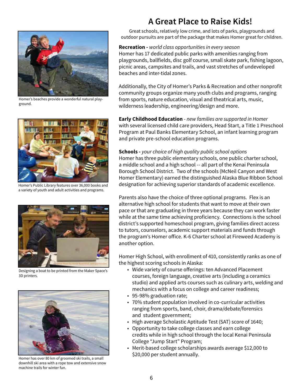

Homer's beaches provide a wonderful natural playground.



Homer's Public Library features over 36,000 books and a variety of youth and adult activities and programs.



Designing a boat to be printed from the Maker Space's 3D printers.



Homer has over 80 km of groomed ski trails, a small downhill ski area with a rope tow and extensive snow machine trails for winter fun.

### **A Great Place to Raise Kids!**

Great schools, relatively low crime, and lots of parks, playgrounds and outdoor pursuits are part of the package that makes Homer great for children.

#### **Recreation -** *world class opportunities in every season*

Homer has 17 dedicated public parks with amenities ranging from playgrounds, ballfields, disc golf course, small skate park, fishing lagoon, picnic areas, campsites and trails, and vast stretches of undeveloped beaches and inter-tidal zones.

Additionally, the City of Homer's Parks & Recreation and other nonprofit community groups organize many youth clubs and programs, ranging from sports, nature education, visual and theatrical arts, music, wilderness leadership, engineering/design and more.

**Early Childhood Education** - *new families are supported in Homer* with several licensed child care providers, Head Start, a Title 1 Preschool Program at Paul Banks Elementary School, an infant learning program and private pre-school education programs.

#### **Schools -** *your choice of high quality public school options*

Homer has three public elementary schools, one public charter school, a middle school and a high school -- all part of the Kenai Peninsula Borough School District. Two of the schools (McNeil Canyon and West Homer Elementary) earned the distinguished Alaska Blue Ribbon School designation for achieving superior standards of academic excellence.

Parents also have the choice of three optional programs. Flex is an alternative high school for students that want to move at their own pace or that are graduating in three years because they can work faster while at the same time achieving proficiency. Connections is the school district's supported homeschool program, giving families direct access to tutors, counselors, academic support materials and funds through the program's Homer office. K-6 Charter school at Fireweed Academy is another option.

Homer High School, with enrollment of 410, consistently ranks as one of the highest scoring schools in Alaska:

- Wide variety of course offerings: ten Advanced Placement courses, foreign language, creative arts (including a ceramics studio) and applied arts courses such as culinary arts, welding and mechanics with a focus on college and career readiness;
- 95-98% graduation rate;
- 70% student population involved in co-curricular activities ranging from sports, band, choir, drama/debate/forensics and student government;
- High average Scholastic Aptitude Test (SAT) score of 1640;
- Opportunity to take college classes and earn college credits while in high school through the local Kenai Peninsula College "Jump Start" Program;
- Merit-based college scholarships awards average \$12,000 to \$20,000 per student annually.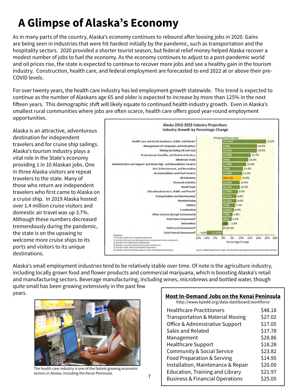## **A Glimpse of Alaska's Economy**

As in many parts of the country, Alaska's economy continues to rebound after loosing jobs in 2020. Gains are being seen in industries that were hit hardest initially by the pandemic, such as transportation and the hospitality sectors. 2020 provided a shorter tourist season, but federal relief money helped Alaska recover a modest number of jobs to fuel the economy. As the economy continues to adjust to a post-pandemic world and oil prices rise, the state is expected to continue to recover more jobs and see a healthy gain in the tourism industry. Construction, health care, and federal employment are forecasted to end 2022 at or above their pre-COVID levels.

For over twenty years, the health care industry has led employment growth statewide. This trend is expected to continue as the number of Alaskans age 65 and older is expected to increase by more than 125% in the next fifteen years. This demographic shift will likely equate to continued health industry growth. Even in Alaska's smallest rural communities where jobs are often scarce, health care offers good year-round employment opportunities.

Alaska is an attractive, adventurous destination for independent travelers and for cruise ship sailings. Alaska's tourism industry plays a vital role in the State's economy providing 1 in 10 Alaskan jobs. One in three Alaska visitors are repeat travelers to the state. Many of those who return are independent travelers who first came to Alaska on a cruise ship. In 2019 Alaska hosted over 1.4 million cruise visitors and domestic air travel was up 3.7%. Although these numbers decreased tremendously during the pandemic, the state is on the upswing to welcome more cruise ships to its ports and visitors to its unique destinations.



Alaska's small employment industries tend to be relatively stable over time. Of note is the agriculture industry, including locally grown food and flower products and commercial marijuana, which is boosting Alaska's retail and manufacturing sectors. Beverage manufacturing, including wines, microbrews and bottled water, though quite small has been growing extensively in the past few

years.



 7 sectors in Alaska, including the Kenai Peninsula. The health care industry is one of the fastest growing economic

#### **Most In-Demand Jobs on the Kenai Peninsula**

http://www.kpedd.org/data-dashboard/workforce

| <b>Healthcare Practitioners</b>             | \$48.18 |
|---------------------------------------------|---------|
| <b>Transportation &amp; Material Moving</b> | \$27.02 |
| Office & Administrative Support             | \$17.05 |
| <b>Sales and Related</b>                    | \$17.78 |
| Management                                  | \$28.86 |
| <b>Healthcare Support</b>                   | \$18.28 |
| <b>Community &amp; Social Service</b>       | \$23.82 |
| Food Preparation & Serving                  | \$14.95 |
| Installation, Maintenance & Repair          | \$20.00 |
| <b>Education, Training and Library</b>      | \$21.97 |
| <b>Business &amp; Financial Operations</b>  | \$25.05 |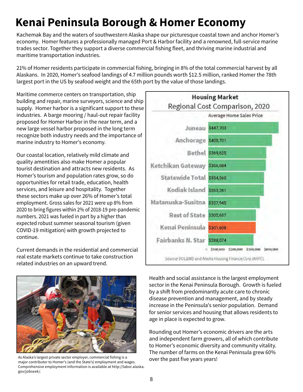## **Kenai Peninsula Borough & Homer Economy**

Kachemak Bay and the waters of southwestern Alaska shape our picturesque coastal town and anchor Homer's economy. Homer features a professionally managed Port & Harbor facility and a renowned, full-service marine trades sector. Together they support a diverse commercial fishing fleet, and thriving marine industrial and maritime transportation industries.

21% of Homer residents participate in commercial fishing, bringing in 8% of the total commercial harvest by all Alaskans. In 2020, Homer's seafood landings of 4.7 million pounds worth \$12.5 million, ranked Homer the 78th largest port in the US by seafood weight and the 65th port by the value of those landings.

Maritime commerce centers on transportation, ship building and repair, marine surveyors, science and ship supply. Homer harbor is a significant support to these industries. A barge mooring / haul-out repair facility proposed for Homer Harbor in the near term, and a new large vessel harbor proposed in the long term recognize both industry needs and the importance of marine industry to Homer's economy.

Our coastal location, relatively mild climate and quality amentities also make Homer a popular tourist destination and attracts new residents. As Homer's tourism and population rates grow, so do opportunities for retail trade, education, health services, and leisure and hospitality. Together these sectors make up over 26% of Homer's total employment. Gross sales for 2021 were up 8% from 2020 to bring figures within 2% of 2018-19 pre-pandemic numbers. 2021 was fueled in part by a higher than expected robust summer seasonal tourism (given COVID-19 mitigation) with growth projected to continue.

Current demands in the residential and commercial real estate markets continue to take construction related industries on an upward trend.





As Alaska's largest private sector employer, commercial fishing is a major contributor to Homer's (and the State's) employment and wages. Comprehensive employment information is available at http://labor.alaska. gov/jobseek/.

Health and social assistance is the largest employment sector in the Kenai Peninsula Borough. Growth is fueled by a shift from predominantly acute care to chronic disease prevention and management, and by steady increase in the Peninsula's senior population. Demand for senior services and housing that allows residents to age in place is expected to grow.

Rounding out Homer's economic drivers are the arts and independent farm growers, all of which contribute to Homer's economic diversity and community vitality. The number of farms on the Kenai Peninsula grew 60% over the past five years years!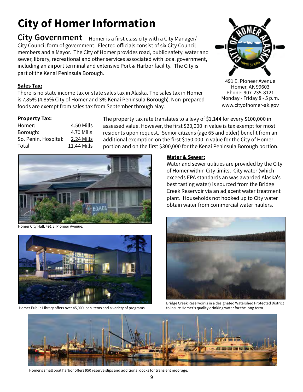## **City of Homer Information**

City Government Homer is a first class city with a City Manager/ City Council form of government. Elected officials consist of six City Council members and a Mayor. The City of Homer provides road, public safety, water and sewer, library, recreational and other services associated with local government, including an airport terminal and extensive Port & Harbor facility. The City is part of the Kenai Peninsula Borough.

#### **Sales Tax:**

There is no state income tax or state sales tax in Alaska. The sales tax in Homer is 7.85% (4.85% City of Homer and 3% Kenai Peninsula Borough). Non-prepared foods are exempt from sales tax from September through May.

#### **Property Tax:**

Homer: 4.50 Mills Borough: 4.70 Mills So. Penin. Hospital: 2.24 Mills Total 11.44 Mills The property tax rate translates to a levy of \$1,144 for every \$100,000 in assessed value. However, the first \$20,000 in value is tax exempt for most residents upon request. Senior citizens (age 65 and older) benefit from an additional exemption on the first \$150,000 in value for the City of Homer portion and on the first \$300,000 for the Kenai Peninsula Borough portion.



Homer City Hall, 491 E. Pioneer Avenue.



Homer Public Library offers over 45,000 loan items and a variety of programs.

#### **Water & Sewer:**

Water and sewer utilities are provided by the City of Homer within City limits. City water (which exceeds EPA standards an was awarded Alaska's best tasting water) is sourced from the Bridge Creek Reservoir via an adjacent water treatment plant. Households not hooked up to City water obtain water from commercial water haulers.



Bridge Creek Reservoir is in a designated Watershed Protected District to insure Homer's quality drinking water for the long term.



Homer's small boat harbor offers 950 reserve slips and additional docks for transient moorage.



491 E. Pioneer Avenue Homer, AK 99603 Phone: 907-235-8121 Monday - Friday 8 - 5 p.m. www.cityofhomer-ak.gov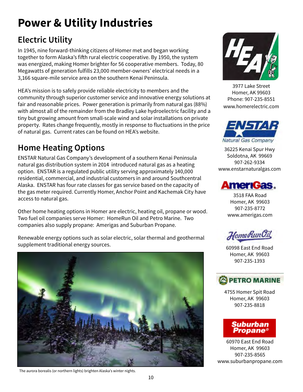## **Power & Utility Industries**

### **Electric Utility**

In 1945, nine forward-thinking citizens of Homer met and began working together to form Alaska's fifth rural electric cooperative. By 1950, the system was energized, making Homer brighter for 56 cooperative members. Today, 80 Megawatts of generation fulfills 23,000 member-owners' electrical needs in a 3,166 square-mile service area on the southern Kenai Peninsula.

HEA's mission is to safely provide reliable electricity to members and the community through superior customer service and innovative energy solutions at fair and reasonable prices. Power generation is primarily from natural gas (88%) with almost all of the remainder from the Bradley Lake hydroelectric facility and a tiny but growing amount from small-scale wind and solar installations on private property. Rates change frequently, mostly in response to fluctuations in the price of natural gas. Current rates can be found on HEA's website.

### **Home Heating Options**

ENSTAR Natural Gas Company's development of a southern Kenai Peninsula natural gas distribution system in 2014 introduced natural gas as a heating option. ENSTAR is a regulated public utility serving approximately 140,000 residential, commercial, and industrial customers in and around Southcentral Alaska. ENSTAR has four rate classes for gas service based on the capacity of the gas meter required. Currently Homer, Anchor Point and Kachemak City have access to natural gas.

Other home heating options in Homer are electric, heating oil, propane or wood. Two fuel oil companies serve Homer: HomeRun Oil and Petro Marine. Two companies also supply propane: Amerigas and Suburban Propane.

Renewable energy options such as solar electric, solar thermal and geothermal supplement traditional energy sources.



3977 Lake Street Homer, AK 99603 Phone: 907-235-8551 www.homerelectric.com



36225 Kenai Spur Hwy Soldotna, AK 99669 907-262-9334 www.enstarnaturalgas.com



3518 FAA Road Homer, AK 99603 907-235-8772 www.amerigas.com

HomeRunOil

60998 East End Road Homer, AK 99603 907-235-1393

### PETRO MARINE

4755 Homer Spit Road Homer, AK 99603 907-235-8818



60970 East End Road Homer, AK 99603 907-235-8565 www.suburbanpropane.com

The aurora borealis (or northern lights) brighten Alaska's winter nights.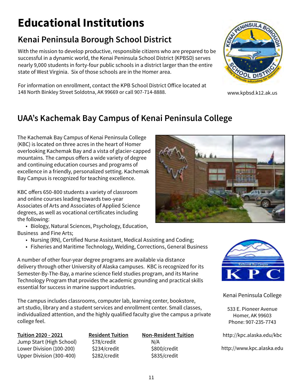## **Educational Institutions**

### **Kenai Peninsula Borough School District**

With the mission to develop productive, responsible citizens who are prepared to be successful in a dynamic world, the Kenai Peninsula School District (KPBSD) serves nearly 9,000 students in forty-four public schools in a district larger than the entire state of West Virginia. Six of those schools are in the Homer area.



#### For information on enrollment, contact the KPB School District Office located at 148 North Binkley Street Soldotna, AK 99669 or call 907-714-8888. www.kpbsd.k12.ak.us

### **UAA's Kachemak Bay Campus of Kenai Peninsula College**

The Kachemak Bay Campus of Kenai Peninsula College (KBC) is located on three acres in the heart of Homer overlooking Kachemak Bay and a vista of glacier-capped mountains. The campus offers a wide variety of degree and continuing education courses and programs of excellence in a friendly, personalized setting. Kachemak Bay Campus is recognized for teaching excellence.

KBC offers 650-800 students a variety of classroom and online courses leading towards two-year Associates of Arts and Associates of Applied Science degrees, as well as vocational certificates including the following:

• Biology, Natural Sciences, Psychology, Education, Business and Fine Arts;

- Nursing (RN), Certified Nurse Assistant, Medical Assisting and Coding;
- Fisheries and Maritime Technology, Welding, Corrections, General Business

A number of other four-year degree programs are available via distance delivery through other University of Alaska campuses. KBC is recognized for its Semester-By-The-Bay, a marine science field studies program, and its Marine Technology Program that provides the academic grounding and practical skills essential for success in marine support industries.

The campus includes classrooms, computer lab, learning center, bookstore, art studio, library and a student services and enrollment center. Small classes, individualized attention, and the highly qualified faculty give the campus a private college feel.

Jump Start (High School) \$78/credit N/A Lower Division (100-200) \$234/credit \$800/credit Upper Division (300-400) \$282/credit \$835/credit

**Tuition 2020 - 2021 Resident Tuition Non-Resident Tuition**





Kenai Peninsula College

533 E. Pioneer Avenue Homer, AK 99603 Phone: 907-235-7743

http://kpc.alaska.edu/kbc

http://www.kpc.alaska.edu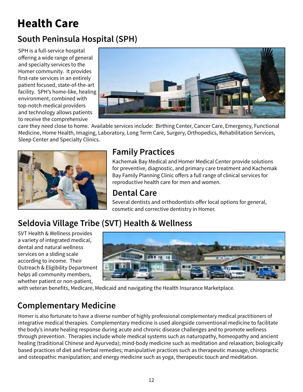## **Health Care**

### **South Peninsula Hospital (SPH)**

SPH is a full-service hospital offering a wide range of general and specialty services to the Homer community. It provides first-rate services in an entirely patient focused, state-of-the-art facility. SPH's home-like, healing environment, combined with top-notch medical providers and technology allows patients to receive the comprehensive



care they need close to home. Available services include: Birthing Center, Cancer Care, Emergency, Functional Medicine, Home Health, Imaging, Laboratory, Long Term Care, Surgery, Orthopedics, Rehabilitation Services, Sleep Center and Specialty Clinics.



### **Family Practices**

Kachemak Bay Medical and Homer Medical Center provide solutions for preventive, diagnostic, and primary care treatment and Kachemak Bay Family Planning Clinic offers a full range of clinical services for reproductive health care for men and women.

### **Dental Care**

Several dentists and orthodontists offer local options for general, cosmetic and corrective dentistry in Homer.

### **Seldovia Village Tribe (SVT) Health & Wellness**

SVT Health & Wellness provides a variety of integrated medical, dental and natural wellness services on a sliding scale according to income. Their Outreach & Eligibility Department helps all community members, whether patient or non-patient,



with veteran benefits, Medicare, Medicaid and navigating the Health Insurance Marketplace.

### **Complementary Medicine**

Homer is also fortunate to have a diverse number of highly professional complementary medical practitioners of integrative medical therapies. Complementary medicine is used alongside conventional medicine to facilitate the body's innate healing response during acute and chronic disease challenges and to promote wellness through prevention. Therapies include whole medical systems such as naturopathy, homeopathy and ancient healing (traditional Chinese and Ayurveda); mind-body medicine such as meditation and relaxation; biologically based practices of diet and herbal remedies; manipulative practices such as therapeutic massage, chiropractic and osteopathic manipulation; and energy medicine such as yoga, therapeutic touch and meditation.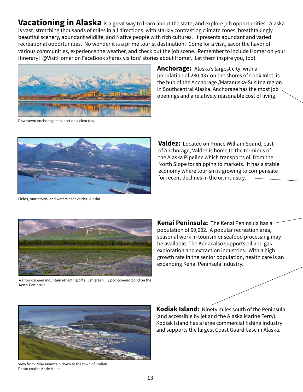**Vacationing in Alaska** is a great way to learn about the state, and explore job opportunities. Alaska is vast, stretching thousands of miles in all directions, with starkly contrasting climate zones, breathtakingly beautiful scenery, abundant wildlife, and Native people with rich cultures. It presents abundant and varied recreational opportunities. No wonder it is a prime tourist destination! Come for a visit, savor the flavor of various communities, experience the weather, and check out the job scene. Remember to include Homer on your itinerary! @VisitHomer on FaceBook shares visitors' stories about Homer. Let them inspire you, too!



**Anchorage:** Alaska's largest city, with a population of 280,437 on the shores of Cook Inlet, is the hub of the Anchorage /Matanuska-Susitna region in Southcentral Alaska. Anchorage has the most job openings and a relatively reasonable cost of living.

Downtown Anchorage at sunset on a clear day.



Fields, mountains, and waters near Valdez, Alaska.

**Valdez:** Located on Prince William Sound, east of Anchorage, Valdez is home to the terminus of the Alaska Pipeline which transports oil from the North Slope for shipping to markets. It has a stable economy where tourism is growing to compensate for recent declines in the oil industry.



A snow-capped mountain reflecting off a lush green lily pad covered pond on the Kenai Peninsula.

**Kenai Peninsula:** The Kenai Peninsula has a population of 59,002. A popular recreation area, seasonal work in tourism or seafood processing may be available. The Kenai also supports oil and gas exploration and extraction industries. With a high growth rate in the senior population, health care is an expanding Kenai Peninsula industry.



View from Pillar Mountain down to the town of Kodiak. Photo credit: Katie Miller.

**Kodiak Island:** Ninety miles south of the Peninsula (and accessible by jet and the Alaska Marine Ferry), Kodiak Island has a large commercial fishing industry and supports the largest Coast Guard base in Alaska.